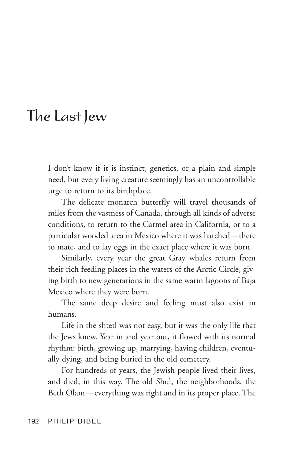## The Last Jew

I don't know if it is instinct, genetics, or a plain and simple need, but every living creature seemingly has an uncontrollable urge to return to its birthplace.

The delicate monarch butterfly will travel thousands of miles from the vastness of Canada, through all kinds of adverse conditions, to return to the Carmel area in California, or to a particular wooded area in Mexico where it was hatched — there to mate, and to lay eggs in the exact place where it was born.

Similarly, every year the great Gray whales return from their rich feeding places in the waters of the Arctic Circle, giving birth to new generations in the same warm lagoons of Baja Mexico where they were born.

The same deep desire and feeling must also exist in humans.

Life in the shtetl was not easy, but it was the only life that the Jews knew. Year in and year out, it flowed with its normal rhythm: birth, growing up, marrying, having children, eventually dying, and being buried in the old cemetery.

For hundreds of years, the Jewish people lived their lives, and died, in this way. The old Shul, the neighborhoods, the Beth Olam — everything was right and in its proper place. The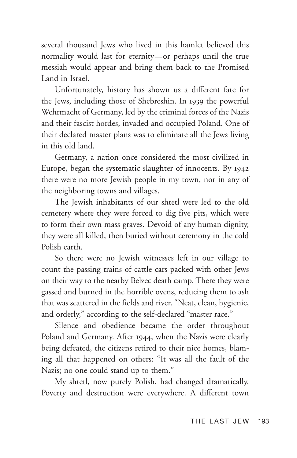several thousand Jews who lived in this hamlet believed this normality would last for eternity — or perhaps until the true messiah would appear and bring them back to the Promised Land in Israel.

Unfortunately, history has shown us a different fate for the Jews, including those of Shebreshin. In 1939 the powerful Wehrmacht of Germany, led by the criminal forces of the Nazis and their fascist hordes, invaded and occupied Poland. One of their declared master plans was to eliminate all the Jews living in this old land.

Germany, a nation once considered the most civilized in Europe, began the systematic slaughter of innocents. By 1942 there were no more Jewish people in my town, nor in any of the neighboring towns and villages.

The Jewish inhabitants of our shtetl were led to the old cemetery where they were forced to dig five pits, which were to form their own mass graves. Devoid of any human dignity, they were all killed, then buried without ceremony in the cold Polish earth.

So there were no Jewish witnesses left in our village to count the passing trains of cattle cars packed with other Jews on their way to the nearby Belzec death camp. There they were gassed and burned in the horrible ovens, reducing them to ash that was scattered in the fields and river. "Neat, clean, hygienic, and orderly," according to the self-declared "master race."

Silence and obedience became the order throughout Poland and Germany. After 1944, when the Nazis were clearly being defeated, the citizens retired to their nice homes, blaming all that happened on others: "It was all the fault of the Nazis; no one could stand up to them."

My shtetl, now purely Polish, had changed dramatically. Poverty and destruction were everywhere. A different town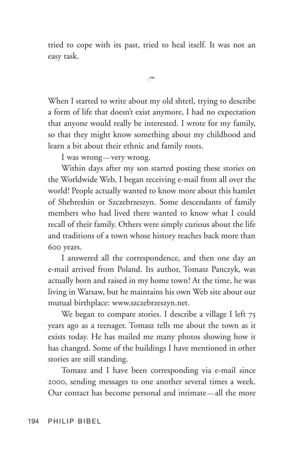tried to cope with its past, tried to heal itself. It was not an easy task.

 $\widehat{\phantom{a}}$ 

When I started to write about my old shtetl, trying to describe a form of life that doesn't exist anymore, I had no expectation that anyone would really be interested. I wrote for my family, so that they might know something about my childhood and learn a bit about their ethnic and family roots.

I was wrong—very wrong.

Within days after my son started posting these stories on the Worldwide Web, I began receiving e-mail from all over the world! People actually wanted to know more about this hamlet of Shebreshin or Szczebrzeszyn. Some descendants of family members who had lived there wanted to know what I could recall of their family. Others were simply curious about the life and traditions of a town whose history reaches back more than 600 years.

I answered all the correspondence, and then one day an e-mail arrived from Poland. Its author, Tomasz Panczyk, was actually born and raised in my home town ! At the time, he was living in Warsaw, but he maintains his own Web site about our mutual birthplace: www.szczebrzeszyn.net.

We began to compare stories. I describe a village I left  $75$ years ago as a teenager. Tomasz tells me about the town as it exists today. He has mailed me many photos showing how it has changed. Some of the buildings I have mentioned in other stories are still standing.

Tomasz and I have been corresponding via e-mail since 2000, sending messages to one another several times a week. Our contact has become personal and intimate — all the more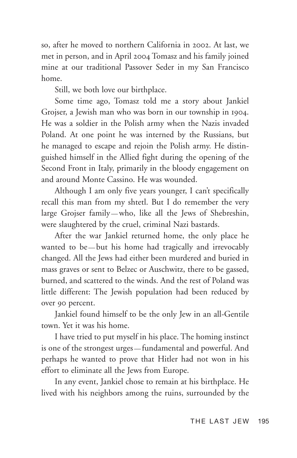so, after he moved to northern California in 2002. At last, we met in person, and in April 2004 Tomasz and his family joined mine at our traditional Passover Seder in my San Francisco home.

Still, we both love our birthplace.

Some time ago, Tomasz told me a story about Jankiel Grojser, a Jewish man who was born in our township in 1904. He was a soldier in the Polish army when the Nazis invaded Poland. At one point he was interned by the Russians, but he managed to escape and rejoin the Polish army. He distinguished himself in the Allied fight during the opening of the Second Front in Italy, primarily in the bloody engagement on and around Monte Cassino. He was wounded.

Although I am only five years younger, I can't specifically recall this man from my shtetl. But I do remember the very large Grojser family — who, like all the Jews of Shebreshin, were slaughtered by the cruel, criminal Nazi bastards.

After the war Jankiel returned home, the only place he wanted to be—but his home had tragically and irrevocably changed. All the Jews had either been murdered and buried in mass graves or sent to Belzec or Auschwitz, there to be gassed, burned, and scattered to the winds. And the rest of Poland was little different: The Jewish population had been reduced by over 90 percent.

Jankiel found himself to be the only Jew in an all-Gentile town. Yet it was his home.

I have tried to put myself in his place. The homing instinct is one of the strongest urges — fundamental and powerful. And perhaps he wanted to prove that Hitler had not won in his effort to eliminate all the Jews from Europe.

In any event, Jankiel chose to remain at his birthplace. He lived with his neighbors among the ruins, surrounded by the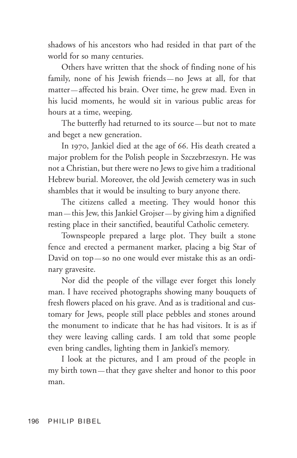shadows of his ancestors who had resided in that part of the world for so many centuries.

Others have written that the shock of finding none of his family, none of his Jewish friends — no Jews at all, for that matter — affected his brain. Over time, he grew mad. Even in his lucid moments, he would sit in various public areas for hours at a time, weeping.

The butterfly had returned to its source-but not to mate and beget a new generation.

In 1970, Jankiel died at the age of 66. His death created a major problem for the Polish people in Szczebrzeszyn. He was not a Christian, but there were no Jews to give him a traditional Hebrew burial. Moreover, the old Jewish cemetery was in such shambles that it would be insulting to bury anyone there.

The citizens called a meeting. They would honor this man — this Jew, this Jankiel Grojser — by giving him a dignified resting place in their sanctified, beautiful Catholic cemetery.

Townspeople prepared a large plot. They built a stone fence and erected a permanent marker, placing a big Star of David on top-so no one would ever mistake this as an ordinary gravesite.

Nor did the people of the village ever forget this lonely man. I have received photographs showing many bouquets of fresh flowers placed on his grave. And as is traditional and customary for Jews, people still place pebbles and stones around the monument to indicate that he has had visitors. It is as if they were leaving calling cards. I am told that some people even bring candles, lighting them in Jankiel's memory.

I look at the pictures, and I am proud of the people in my birth town — that they gave shelter and honor to this poor man.